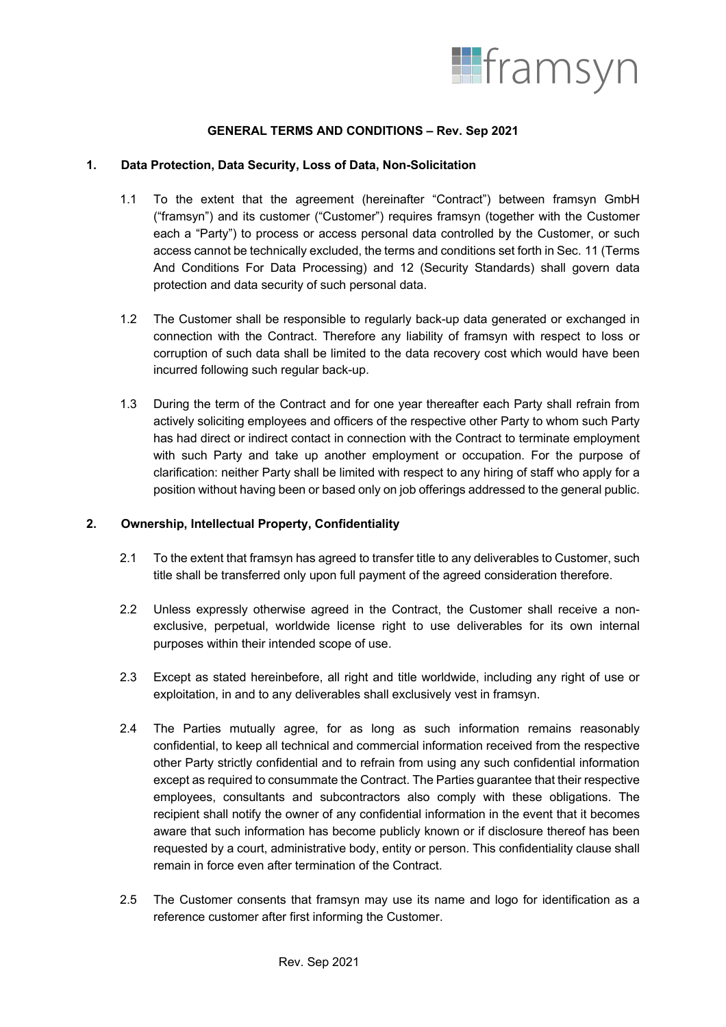

# **GENERAL TERMS AND CONDITIONS – Rev. Sep 2021**

## **1. Data Protection, Data Security, Loss of Data, Non-Solicitation**

- 1.1 To the extent that the agreement (hereinafter "Contract") between framsyn GmbH ("framsyn") and its customer ("Customer") requires framsyn (together with the Customer each a "Party") to process or access personal data controlled by the Customer, or such access cannot be technically excluded, the terms and conditions set forth in Sec. 11 (Terms And Conditions For Data Processing) and 12 (Security Standards) shall govern data protection and data security of such personal data.
- 1.2 The Customer shall be responsible to regularly back-up data generated or exchanged in connection with the Contract. Therefore any liability of framsyn with respect to loss or corruption of such data shall be limited to the data recovery cost which would have been incurred following such regular back-up.
- 1.3 During the term of the Contract and for one year thereafter each Party shall refrain from actively soliciting employees and officers of the respective other Party to whom such Party has had direct or indirect contact in connection with the Contract to terminate employment with such Party and take up another employment or occupation. For the purpose of clarification: neither Party shall be limited with respect to any hiring of staff who apply for a position without having been or based only on job offerings addressed to the general public.

### **2. Ownership, Intellectual Property, Confidentiality**

- 2.1 To the extent that framsyn has agreed to transfer title to any deliverables to Customer, such title shall be transferred only upon full payment of the agreed consideration therefore.
- 2.2 Unless expressly otherwise agreed in the Contract, the Customer shall receive a nonexclusive, perpetual, worldwide license right to use deliverables for its own internal purposes within their intended scope of use.
- 2.3 Except as stated hereinbefore, all right and title worldwide, including any right of use or exploitation, in and to any deliverables shall exclusively vest in framsyn.
- 2.4 The Parties mutually agree, for as long as such information remains reasonably confidential, to keep all technical and commercial information received from the respective other Party strictly confidential and to refrain from using any such confidential information except as required to consummate the Contract. The Parties guarantee that their respective employees, consultants and subcontractors also comply with these obligations. The recipient shall notify the owner of any confidential information in the event that it becomes aware that such information has become publicly known or if disclosure thereof has been requested by a court, administrative body, entity or person. This confidentiality clause shall remain in force even after termination of the Contract.
- 2.5 The Customer consents that framsyn may use its name and logo for identification as a reference customer after first informing the Customer.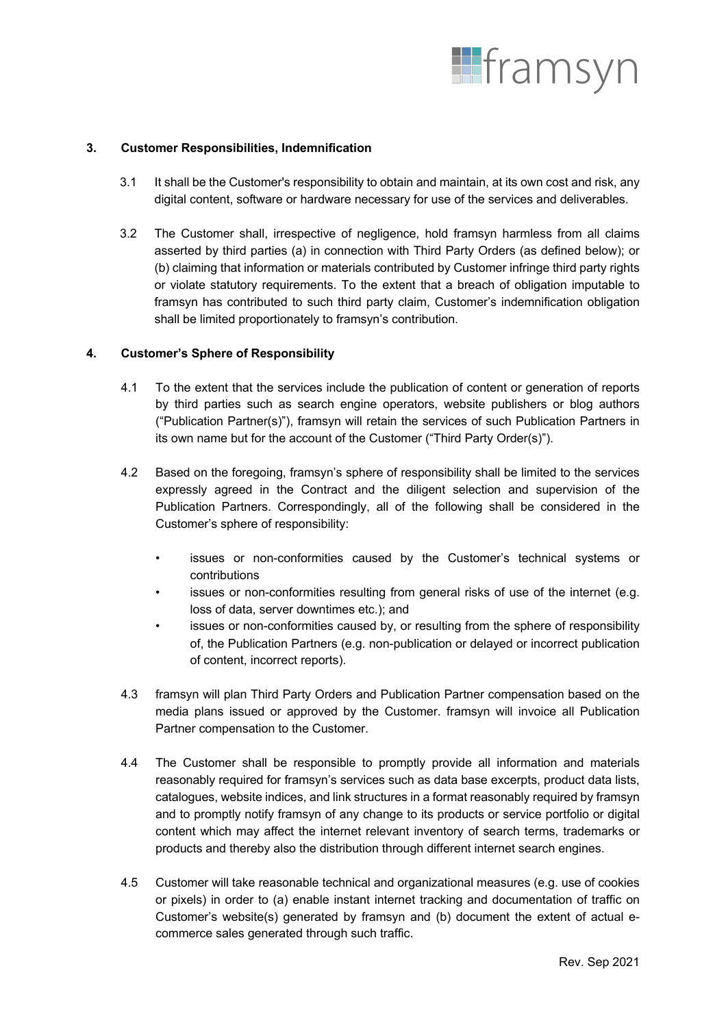

## **3. Customer Responsibilities, Indemnification**

- 3.1 It shall be the Customer's responsibility to obtain and maintain, at its own cost and risk, any digital content, software or hardware necessary for use of the services and deliverables.
- 3.2 The Customer shall, irrespective of negligence, hold framsyn harmless from all claims asserted by third parties (a) in connection with Third Party Orders (as defined below); or (b) claiming that information or materials contributed by Customer infringe third party rights or violate statutory requirements. To the extent that a breach of obligation imputable to framsyn has contributed to such third party claim, Customer's indemnification obligation shall be limited proportionately to framsyn's contribution.

## **4. Customer's Sphere of Responsibility**

- 4.1 To the extent that the services include the publication of content or generation of reports by third parties such as search engine operators, website publishers or blog authors ("Publication Partner(s)"), framsyn will retain the services of such Publication Partners in its own name but for the account of the Customer ("Third Party Order(s)").
- 4.2 Based on the foregoing, framsyn's sphere of responsibility shall be limited to the services expressly agreed in the Contract and the diligent selection and supervision of the Publication Partners. Correspondingly, all of the following shall be considered in the Customer's sphere of responsibility:
	- issues or non-conformities caused by the Customer's technical systems or contributions
	- issues or non-conformities resulting from general risks of use of the internet (e.g. loss of data, server downtimes etc.); and
	- issues or non-conformities caused by, or resulting from the sphere of responsibility of, the Publication Partners (e.g. non-publication or delayed or incorrect publication of content, incorrect reports).
- 4.3 framsyn will plan Third Party Orders and Publication Partner compensation based on the media plans issued or approved by the Customer. framsyn will invoice all Publication Partner compensation to the Customer.
- 4.4 The Customer shall be responsible to promptly provide all information and materials reasonably required for framsyn's services such as data base excerpts, product data lists, catalogues, website indices, and link structures in a format reasonably required by framsyn and to promptly notify framsyn of any change to its products or service portfolio or digital content which may affect the internet relevant inventory of search terms, trademarks or products and thereby also the distribution through different internet search engines.
- 4.5 Customer will take reasonable technical and organizational measures (e.g. use of cookies or pixels) in order to (a) enable instant internet tracking and documentation of traffic on Customer's website(s) generated by framsyn and (b) document the extent of actual ecommerce sales generated through such traffic.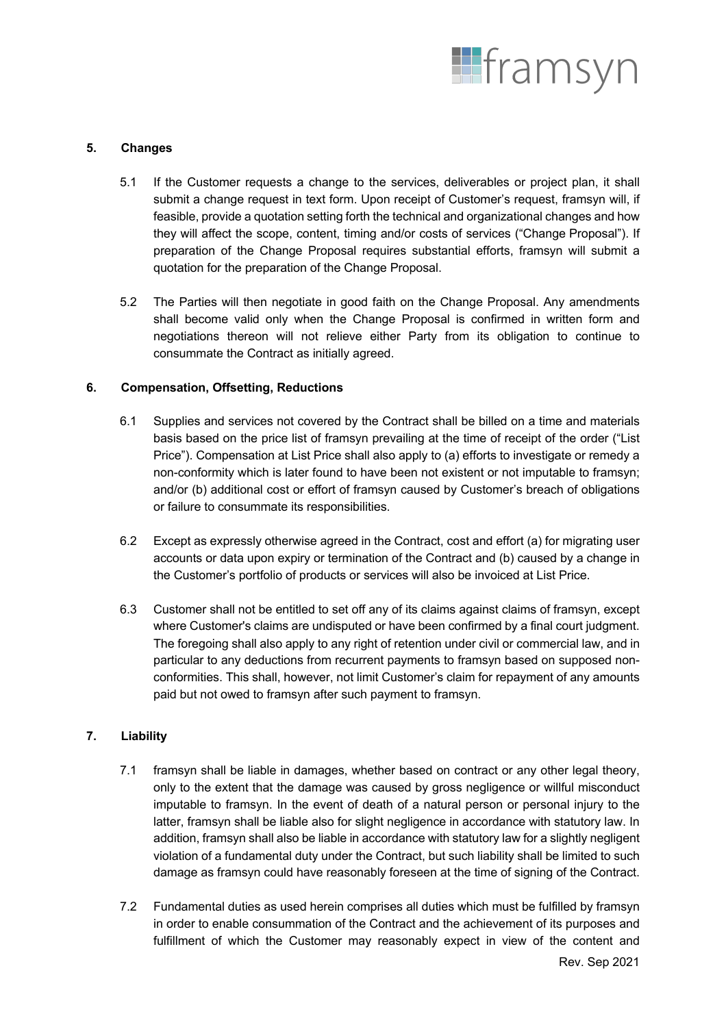

# **5. Changes**

- 5.1 If the Customer requests a change to the services, deliverables or project plan, it shall submit a change request in text form. Upon receipt of Customer's request, framsyn will, if feasible, provide a quotation setting forth the technical and organizational changes and how they will affect the scope, content, timing and/or costs of services ("Change Proposal"). If preparation of the Change Proposal requires substantial efforts, framsyn will submit a quotation for the preparation of the Change Proposal.
- 5.2 The Parties will then negotiate in good faith on the Change Proposal. Any amendments shall become valid only when the Change Proposal is confirmed in written form and negotiations thereon will not relieve either Party from its obligation to continue to consummate the Contract as initially agreed.

## **6. Compensation, Offsetting, Reductions**

- 6.1 Supplies and services not covered by the Contract shall be billed on a time and materials basis based on the price list of framsyn prevailing at the time of receipt of the order ("List Price"). Compensation at List Price shall also apply to (a) efforts to investigate or remedy a non-conformity which is later found to have been not existent or not imputable to framsyn; and/or (b) additional cost or effort of framsyn caused by Customer's breach of obligations or failure to consummate its responsibilities.
- 6.2 Except as expressly otherwise agreed in the Contract, cost and effort (a) for migrating user accounts or data upon expiry or termination of the Contract and (b) caused by a change in the Customer's portfolio of products or services will also be invoiced at List Price.
- 6.3 Customer shall not be entitled to set off any of its claims against claims of framsyn, except where Customer's claims are undisputed or have been confirmed by a final court judgment. The foregoing shall also apply to any right of retention under civil or commercial law, and in particular to any deductions from recurrent payments to framsyn based on supposed nonconformities. This shall, however, not limit Customer's claim for repayment of any amounts paid but not owed to framsyn after such payment to framsyn.

# **7. Liability**

- 7.1 framsyn shall be liable in damages, whether based on contract or any other legal theory, only to the extent that the damage was caused by gross negligence or willful misconduct imputable to framsyn. In the event of death of a natural person or personal injury to the latter, framsyn shall be liable also for slight negligence in accordance with statutory law. In addition, framsyn shall also be liable in accordance with statutory law for a slightly negligent violation of a fundamental duty under the Contract, but such liability shall be limited to such damage as framsyn could have reasonably foreseen at the time of signing of the Contract.
- 7.2 Fundamental duties as used herein comprises all duties which must be fulfilled by framsyn in order to enable consummation of the Contract and the achievement of its purposes and fulfillment of which the Customer may reasonably expect in view of the content and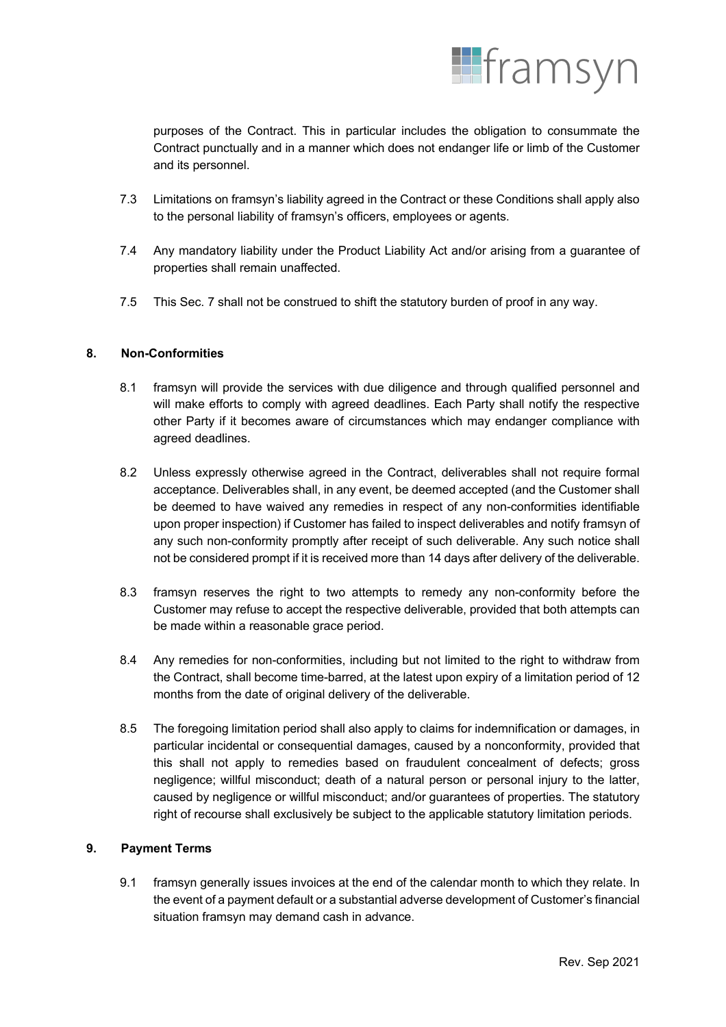

purposes of the Contract. This in particular includes the obligation to consummate the Contract punctually and in a manner which does not endanger life or limb of the Customer and its personnel.

- 7.3 Limitations on framsyn's liability agreed in the Contract or these Conditions shall apply also to the personal liability of framsyn's officers, employees or agents.
- 7.4 Any mandatory liability under the Product Liability Act and/or arising from a guarantee of properties shall remain unaffected.
- 7.5 This Sec. 7 shall not be construed to shift the statutory burden of proof in any way.

## **8. Non-Conformities**

- 8.1 framsyn will provide the services with due diligence and through qualified personnel and will make efforts to comply with agreed deadlines. Each Party shall notify the respective other Party if it becomes aware of circumstances which may endanger compliance with agreed deadlines.
- 8.2 Unless expressly otherwise agreed in the Contract, deliverables shall not require formal acceptance. Deliverables shall, in any event, be deemed accepted (and the Customer shall be deemed to have waived any remedies in respect of any non-conformities identifiable upon proper inspection) if Customer has failed to inspect deliverables and notify framsyn of any such non-conformity promptly after receipt of such deliverable. Any such notice shall not be considered prompt if it is received more than 14 days after delivery of the deliverable.
- 8.3 framsyn reserves the right to two attempts to remedy any non-conformity before the Customer may refuse to accept the respective deliverable, provided that both attempts can be made within a reasonable grace period.
- 8.4 Any remedies for non-conformities, including but not limited to the right to withdraw from the Contract, shall become time-barred, at the latest upon expiry of a limitation period of 12 months from the date of original delivery of the deliverable.
- 8.5 The foregoing limitation period shall also apply to claims for indemnification or damages, in particular incidental or consequential damages, caused by a nonconformity, provided that this shall not apply to remedies based on fraudulent concealment of defects; gross negligence; willful misconduct; death of a natural person or personal injury to the latter, caused by negligence or willful misconduct; and/or guarantees of properties. The statutory right of recourse shall exclusively be subject to the applicable statutory limitation periods.

## **9. Payment Terms**

9.1 framsyn generally issues invoices at the end of the calendar month to which they relate. In the event of a payment default or a substantial adverse development of Customer's financial situation framsyn may demand cash in advance.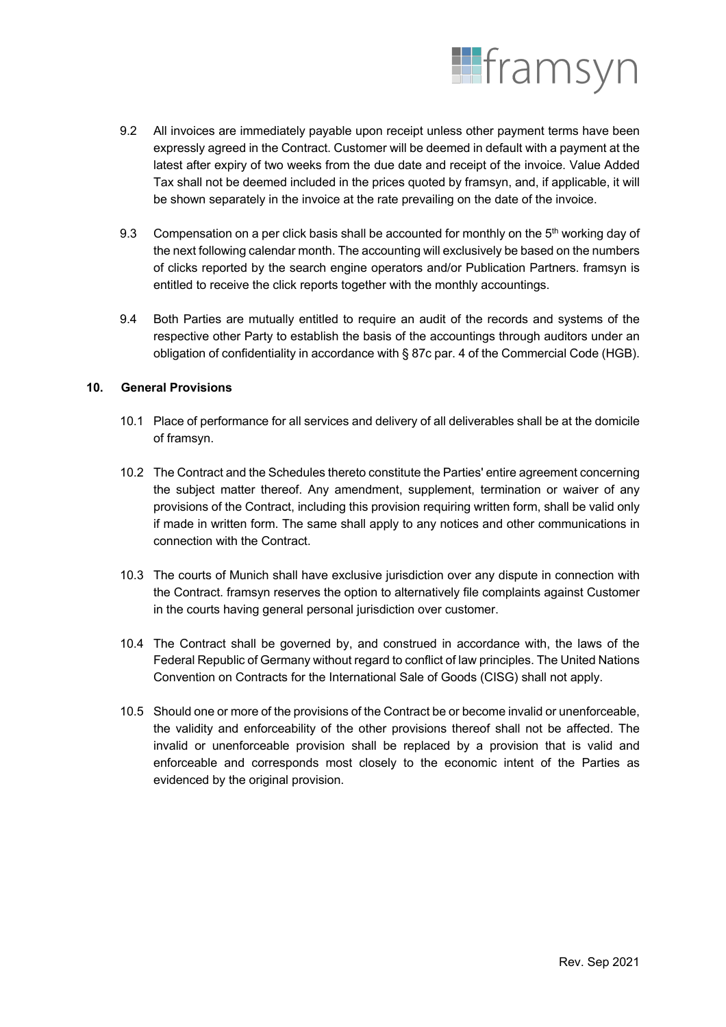

- 9.2 All invoices are immediately payable upon receipt unless other payment terms have been expressly agreed in the Contract. Customer will be deemed in default with a payment at the latest after expiry of two weeks from the due date and receipt of the invoice. Value Added Tax shall not be deemed included in the prices quoted by framsyn, and, if applicable, it will be shown separately in the invoice at the rate prevailing on the date of the invoice.
- 9.3 Compensation on a per click basis shall be accounted for monthly on the  $5<sup>th</sup>$  working day of the next following calendar month. The accounting will exclusively be based on the numbers of clicks reported by the search engine operators and/or Publication Partners. framsyn is entitled to receive the click reports together with the monthly accountings.
- 9.4 Both Parties are mutually entitled to require an audit of the records and systems of the respective other Party to establish the basis of the accountings through auditors under an obligation of confidentiality in accordance with § 87c par. 4 of the Commercial Code (HGB).

## **10. General Provisions**

- 10.1 Place of performance for all services and delivery of all deliverables shall be at the domicile of framsyn.
- 10.2 The Contract and the Schedules thereto constitute the Parties' entire agreement concerning the subject matter thereof. Any amendment, supplement, termination or waiver of any provisions of the Contract, including this provision requiring written form, shall be valid only if made in written form. The same shall apply to any notices and other communications in connection with the Contract.
- 10.3 The courts of Munich shall have exclusive jurisdiction over any dispute in connection with the Contract. framsyn reserves the option to alternatively file complaints against Customer in the courts having general personal jurisdiction over customer.
- 10.4 The Contract shall be governed by, and construed in accordance with, the laws of the Federal Republic of Germany without regard to conflict of law principles. The United Nations Convention on Contracts for the International Sale of Goods (CISG) shall not apply.
- 10.5 Should one or more of the provisions of the Contract be or become invalid or unenforceable, the validity and enforceability of the other provisions thereof shall not be affected. The invalid or unenforceable provision shall be replaced by a provision that is valid and enforceable and corresponds most closely to the economic intent of the Parties as evidenced by the original provision.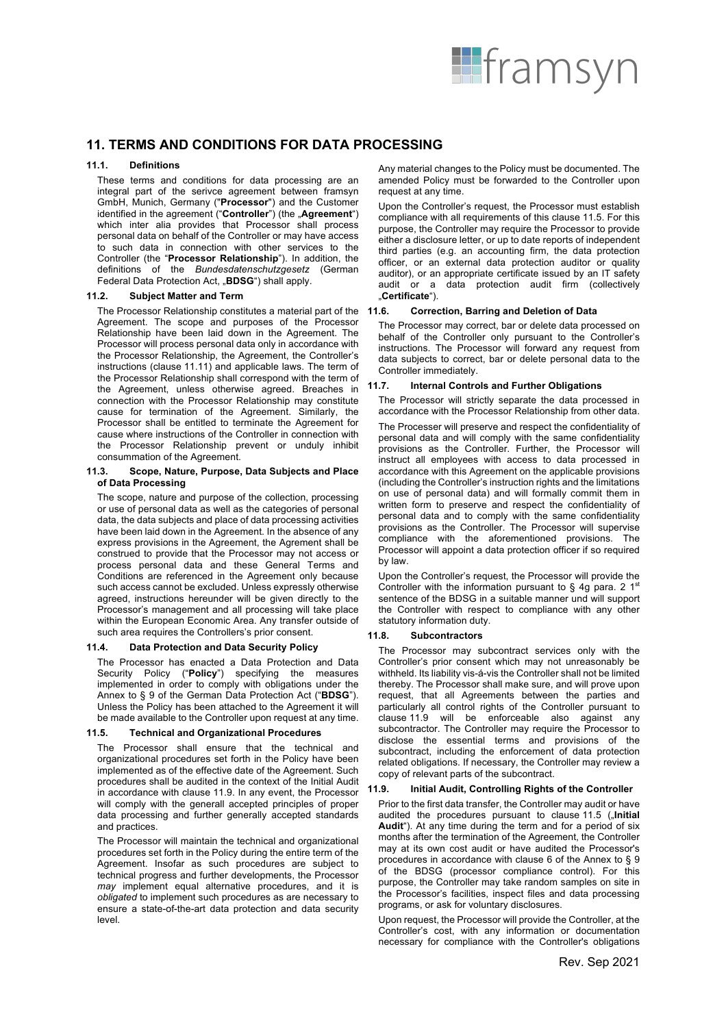

# **11. TERMS AND CONDITIONS FOR DATA PROCESSING**

### **11.1. Definitions**

These terms and conditions for data processing are an integral part of the serivce agreement between framsyn GmbH, Munich, Germany ("**Processor**") and the Customer identified in the agreement ("Controller") (the "Agreement") which inter alia provides that Processor shall process personal data on behalf of the Controller or may have access to such data in connection with other services to the Controller (the "**Processor Relationship**"). In addition, the definitions of the *Bundesdatenschutzgesetz* (German Federal Data Protection Act, "**BDSG**") shall apply.

### **11.2. Subject Matter and Term**

The Processor Relationship constitutes a material part of the Agreement. The scope and purposes of the Processor Relationship have been laid down in the Agreement. The Processor will process personal data only in accordance with the Processor Relationship, the Agreement, the Controller's instructions (clause 11.11) and applicable laws. The term of the Processor Relationship shall correspond with the term of the Agreement, unless otherwise agreed. Breaches in connection with the Processor Relationship may constitute cause for termination of the Agreement. Similarly, the Processor shall be entitled to terminate the Agreement for cause where instructions of the Controller in connection with the Processor Relationship prevent or unduly inhibit consummation of the Agreement.

### **11.3. Scope, Nature, Purpose, Data Subjects and Place of Data Processing**

The scope, nature and purpose of the collection, processing or use of personal data as well as the categories of personal data, the data subjects and place of data processing activities have been laid down in the Agreement. In the absence of any express provisions in the Agreement, the Agrement shall be construed to provide that the Processor may not access or process personal data and these General Terms and Conditions are referenced in the Agreement only because such access cannot be excluded. Unless expressly otherwise agreed, instructions hereunder will be given directly to the Processor's management and all processing will take place within the European Economic Area. Any transfer outside of such area requires the Controllers's prior consent.

### **11.4. Data Protection and Data Security Policy**

The Processor has enacted a Data Protection and Data Security Policy ("**Policy**") specifying the measures implemented in order to comply with obligations under the Annex to § 9 of the German Data Protection Act ("**BDSG**"). Unless the Policy has been attached to the Agreement it will be made available to the Controller upon request at any time.

#### **11.5. Technical and Organizational Procedures**

The Processor shall ensure that the technical and organizational procedures set forth in the Policy have been implemented as of the effective date of the Agreement. Such procedures shall be audited in the context of the Initial Audit in accordance with clause 11.9. In any event, the Processor will comply with the generall accepted principles of proper data processing and further generally accepted standards and practices.

The Processor will maintain the technical and organizational procedures set forth in the Policy during the entire term of the Agreement. Insofar as such procedures are subject to technical progress and further developments, the Processor *may* implement equal alternative procedures, and it is *obligated* to implement such procedures as are necessary to ensure a state-of-the-art data protection and data security level.

Any material changes to the Policy must be documented. The amended Policy must be forwarded to the Controller upon request at any time.

Upon the Controller's request, the Processor must establish compliance with all requirements of this clause 11.5. For this purpose, the Controller may require the Processor to provide either a disclosure letter, or up to date reports of independent third parties (e.g. an accounting firm, the data protection officer, or an external data protection auditor or quality auditor), or an appropriate certificate issued by an IT safety audit or a data protection audit firm (collectively "**Certificate**").

#### **11.6. Correction, Barring and Deletion of Data**

The Processor may correct, bar or delete data processed on behalf of the Controller only pursuant to the Controller's instructions. The Processor will forward any request from data subjects to correct, bar or delete personal data to the Controller immediately.

### **11.7. Internal Controls and Further Obligations**

The Processor will strictly separate the data processed in accordance with the Processor Relationship from other data. The Processer will preserve and respect the confidentiality of personal data and will comply with the same confidentiality provisions as the Controller. Further, the Processor will instruct all employees with access to data processed in accordance with this Agreement on the applicable provisions (including the Controller's instruction rights and the limitations on use of personal data) and will formally commit them in written form to preserve and respect the confidentiality of personal data and to comply with the same confidentiality provisions as the Controller. The Processor will supervise compliance with the aforementioned provisions. The Processor will appoint a data protection officer if so required by law.

Upon the Controller's request, the Processor will provide the Controller with the information pursuant to § 4g para. 2 1st sentence of the BDSG in a suitable manner und will support the Controller with respect to compliance with any other statutory information duty.

#### **11.8. Subcontractors**

The Processor may subcontract services only with the Controller's prior consent which may not unreasonably be withheld. Its liability vis-á-vis the Controller shall not be limited thereby. The Processor shall make sure, and will prove upon request, that all Agreements between the parties and particularly all control rights of the Controller pursuant to clause 11.9 will be enforceable also against any subcontractor. The Controller may require the Processor to disclose the essential terms and provisions of the subcontract, including the enforcement of data protection related obligations. If necessary, the Controller may review a copy of relevant parts of the subcontract.

### **11.9. Initial Audit, Controlling Rights of the Controller**

Prior to the first data transfer, the Controller may audit or have audited the procedures pursuant to clause 11.5 ("Initial **Audit**"). At any time during the term and for a period of six months after the termination of the Agreement, the Controller may at its own cost audit or have audited the Processor's procedures in accordance with clause 6 of the Annex to § 9 of the BDSG (processor compliance control). For this purpose, the Controller may take random samples on site in the Processor's facilities, inspect files and data processing programs, or ask for voluntary disclosures.

Upon request, the Processor will provide the Controller, at the Controller's cost, with any information or documentation necessary for compliance with the Controller's obligations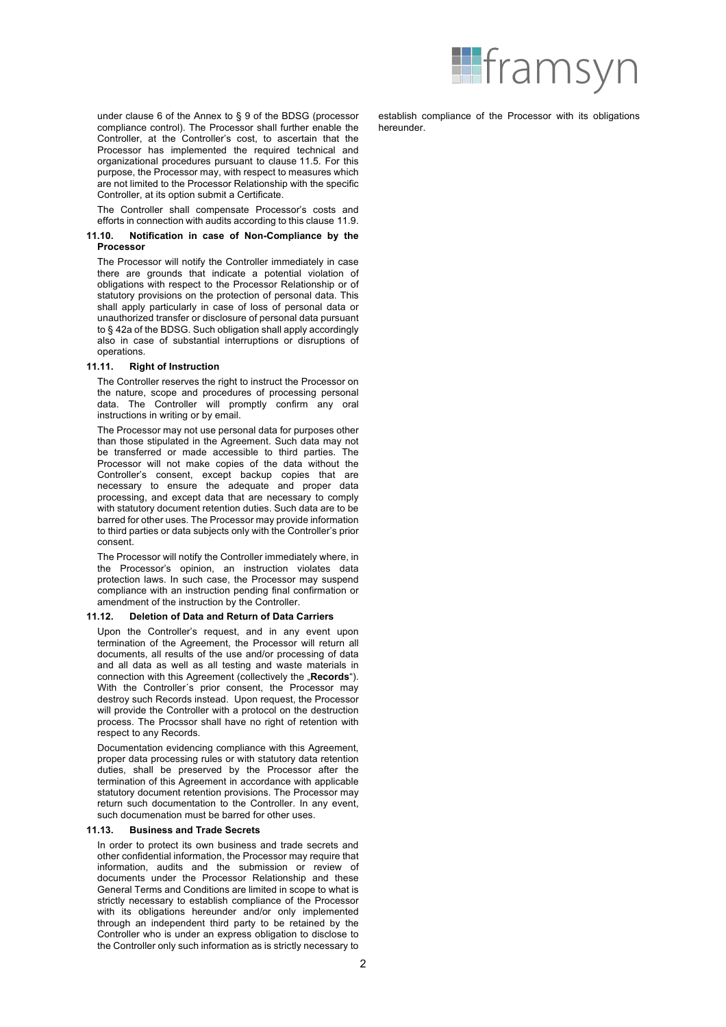

under clause 6 of the Annex to § 9 of the BDSG (processor compliance control). The Processor shall further enable the Controller, at the Controller's cost, to ascertain that the Processor has implemented the required technical and organizational procedures pursuant to clause 11.5. For this purpose, the Processor may, with respect to measures which are not limited to the Processor Relationship with the specific Controller, at its option submit a Certificate.

The Controller shall compensate Processor's costs and efforts in connection with audits according to this clause 11.9.

### **11.10. Notification in case of Non-Compliance by the Processor**

The Processor will notify the Controller immediately in case there are grounds that indicate a potential violation of obligations with respect to the Processor Relationship or of statutory provisions on the protection of personal data. This shall apply particularly in case of loss of personal data or unauthorized transfer or disclosure of personal data pursuant to § 42a of the BDSG. Such obligation shall apply accordingly also in case of substantial interruptions or disruptions of operations.

### **11.11. Right of Instruction**

The Controller reserves the right to instruct the Processor on the nature, scope and procedures of processing personal data. The Controller will promptly confirm any oral instructions in writing or by email.

The Processor may not use personal data for purposes other than those stipulated in the Agreement. Such data may not be transferred or made accessible to third parties. The Processor will not make copies of the data without the Controller's consent, except backup copies that are necessary to ensure the adequate and proper data processing, and except data that are necessary to comply with statutory document retention duties. Such data are to be barred for other uses. The Processor may provide information to third parties or data subjects only with the Controller's prior consent.

The Processor will notify the Controller immediately where, in the Processor's opinion, an instruction violates data protection laws. In such case, the Processor may suspend compliance with an instruction pending final confirmation or amendment of the instruction by the Controller.

### **11.12. Deletion of Data and Return of Data Carriers**

Upon the Controller's request, and in any event upon termination of the Agreement, the Processor will return all documents, all results of the use and/or processing of data and all data as well as all testing and waste materials in connection with this Agreement (collectively the "**Records**"). With the Controller´s prior consent, the Processor may destroy such Records instead. Upon request, the Processor will provide the Controller with a protocol on the destruction process. The Procssor shall have no right of retention with respect to any Records.

Documentation evidencing compliance with this Agreement, proper data processing rules or with statutory data retention duties, shall be preserved by the Processor after the termination of this Agreement in accordance with applicable statutory document retention provisions. The Processor may return such documentation to the Controller. In any event, such documenation must be barred for other uses.

### **11.13. Business and Trade Secrets**

In order to protect its own business and trade secrets and other confidential information, the Processor may require that information, audits and the submission or review of documents under the Processor Relationship and these General Terms and Conditions are limited in scope to what is strictly necessary to establish compliance of the Processor with its obligations hereunder and/or only implemented through an independent third party to be retained by the Controller who is under an express obligation to disclose to the Controller only such information as is strictly necessary to

establish compliance of the Processor with its obligations hereunder.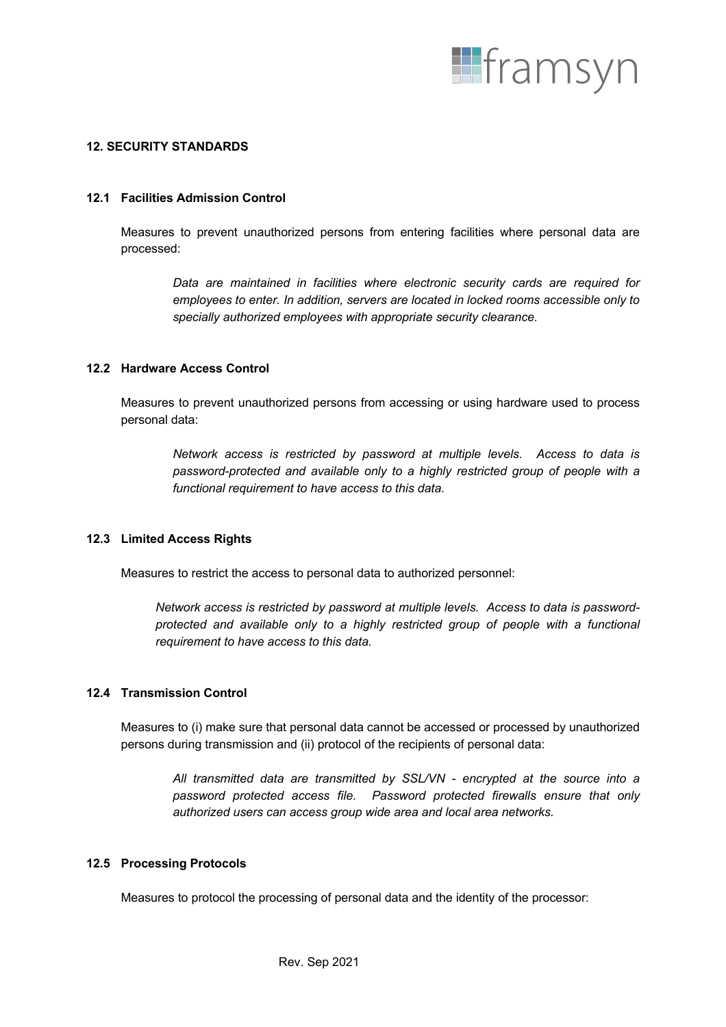

## **12. SECURITY STANDARDS**

### **12.1 Facilities Admission Control**

Measures to prevent unauthorized persons from entering facilities where personal data are processed:

*Data are maintained in facilities where electronic security cards are required for employees to enter. In addition, servers are located in locked rooms accessible only to specially authorized employees with appropriate security clearance.*

## **12.2 Hardware Access Control**

Measures to prevent unauthorized persons from accessing or using hardware used to process personal data:

*Network access is restricted by password at multiple levels. Access to data is password-protected and available only to a highly restricted group of people with a functional requirement to have access to this data.*

### **12.3 Limited Access Rights**

Measures to restrict the access to personal data to authorized personnel:

*Network access is restricted by password at multiple levels. Access to data is password*protected and available only to a highly restricted group of people with a functional *requirement to have access to this data.*

## **12.4 Transmission Control**

Measures to (i) make sure that personal data cannot be accessed or processed by unauthorized persons during transmission and (ii) protocol of the recipients of personal data:

*All transmitted data are transmitted by SSL/VN - encrypted at the source into a password protected access file. Password protected firewalls ensure that only authorized users can access group wide area and local area networks.*

### **12.5 Processing Protocols**

Measures to protocol the processing of personal data and the identity of the processor: